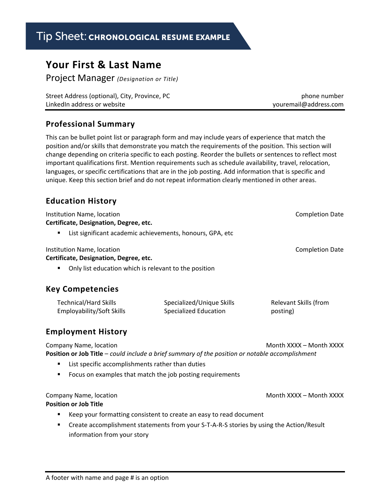# Tip Sheet: CHRONOLOGICAL RESUME EXAMPLE

## **Your First & Last Name**

Project Manager *(Designation or Title)*

| Street Address (optional), City, Province, PC | phone number          |
|-----------------------------------------------|-----------------------|
| Linked In address or website                  | youremail@address.com |

#### **Professional Summary**

This can be bullet point list or paragraph form and may include years of experience that match the position and/or skills that demonstrate you match the requirements of the position. This section will change depending on criteria specific to each posting. Reorder the bullets or sentences to reflect most important qualifications first. Mention requirements such as schedule availability, travel, relocation, languages, or specific certifications that are in the job posting. Add information that is specific and unique. Keep this section brief and do not repeat information clearly mentioned in other areas.

### **Education History**

| Institution Name, location<br>Certificate, Designation, Degree, etc.                                                             |                                                           | <b>Completion Date</b>            |  |
|----------------------------------------------------------------------------------------------------------------------------------|-----------------------------------------------------------|-----------------------------------|--|
| List significant academic achievements, honours, GPA, etc<br>٠                                                                   |                                                           |                                   |  |
| Institution Name, location<br>Certificate, Designation, Degree, etc.                                                             |                                                           | <b>Completion Date</b>            |  |
| Only list education which is relevant to the position<br>٠                                                                       |                                                           |                                   |  |
| <b>Key Competencies</b>                                                                                                          |                                                           |                                   |  |
| <b>Technical/Hard Skills</b><br>Employability/Soft Skills                                                                        | Specialized/Unique Skills<br><b>Specialized Education</b> | Relevant Skills (from<br>posting) |  |
| <b>Employment History</b>                                                                                                        |                                                           |                                   |  |
| Company Name, location<br><b>Position or Job Title</b> – could include a brief summary of the position or notable accomplishment |                                                           | Month XXXX – Month XXXX           |  |
| List specific accomplishments rather than duties                                                                                 |                                                           |                                   |  |
| Focus on examples that match the job posting requirements<br>٠                                                                   |                                                           |                                   |  |
| Company Name, location                                                                                                           |                                                           | Month XXXX – Month XXXX           |  |

### **Position or Job Title**

- E Keep your formatting consistent to create an easy to read document
- Create accomplishment statements from your S-T-A-R-S stories by using the Action/Result information from your story